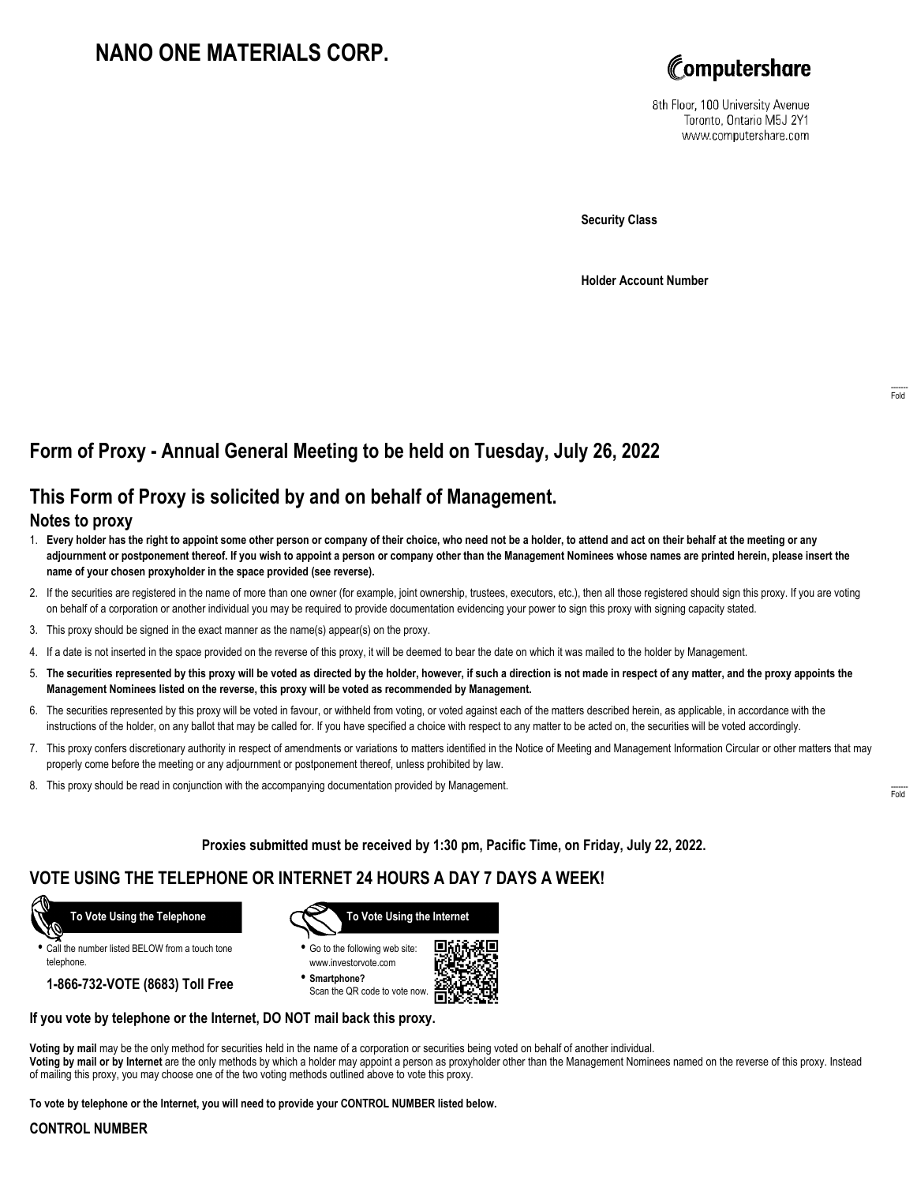# **NANO ONE MATERIALS CORP.**



8th Floor, 100 University Avenue Toronto, Ontario M5J 2Y1 www.computershare.com

**Security Class**

**Holder Account Number**

# **Form of Proxy - Annual General Meeting to be held on Tuesday, July 26, 2022**

## **This Form of Proxy is solicited by and on behalf of Management.**

### **Notes to proxy**

- 1. **Every holder has the right to appoint some other person or company of their choice, who need not be a holder, to attend and act on their behalf at the meeting or any adjournment or postponement thereof. If you wish to appoint a person or company other than the Management Nominees whose names are printed herein, please insert the name of your chosen proxyholder in the space provided (see reverse).**
- 2. If the securities are registered in the name of more than one owner (for example, joint ownership, trustees, executors, etc.), then all those registered should sign this proxy. If you are voting on behalf of a corporation or another individual you may be required to provide documentation evidencing your power to sign this proxy with signing capacity stated.
- 3. This proxy should be signed in the exact manner as the name(s) appear(s) on the proxy.
- 4. If a date is not inserted in the space provided on the reverse of this proxy, it will be deemed to bear the date on which it was mailed to the holder by Management.
- 5. **The securities represented by this proxy will be voted as directed by the holder, however, if such a direction is not made in respect of any matter, and the proxy appoints the Management Nominees listed on the reverse, this proxy will be voted as recommended by Management.**
- 6. The securities represented by this proxy will be voted in favour, or withheld from voting, or voted against each of the matters described herein, as applicable, in accordance with the instructions of the holder, on any ballot that may be called for. If you have specified a choice with respect to any matter to be acted on, the securities will be voted accordingly.
- 7. This proxy confers discretionary authority in respect of amendments or variations to matters identified in the Notice of Meeting and Management Information Circular or other matters that may properly come before the meeting or any adjournment or postponement thereof, unless prohibited by law.
- 8. This proxy should be read in conjunction with the accompanying documentation provided by Management.

**Proxies submitted must be received by 1:30 pm, Pacific Time, on Friday, July 22, 2022.**

## **VOTE USING THE TELEPHONE OR INTERNET 24 HOURS A DAY 7 DAYS A WEEK!**



**•** Call the number listed BELOW from a touch tone telephone.

**1-866-732-VOTE (8683) Toll Free**



**•** Go to the following web site: www.investorvote.com

**• Smartphone?** Scan the QR code to vote now.



#### **If you vote by telephone or the Internet, DO NOT mail back this proxy.**

**Voting by mail** may be the only method for securities held in the name of a corporation or securities being voted on behalf of another individual. **Voting by mail or by Internet** are the only methods by which a holder may appoint a person as proxyholder other than the Management Nominees named on the reverse of this proxy. Instead of mailing this proxy, you may choose one of the two voting methods outlined above to vote this proxy.

**To vote by telephone or the Internet, you will need to provide your CONTROL NUMBER listed below.**

#### **CONTROL NUMBER**